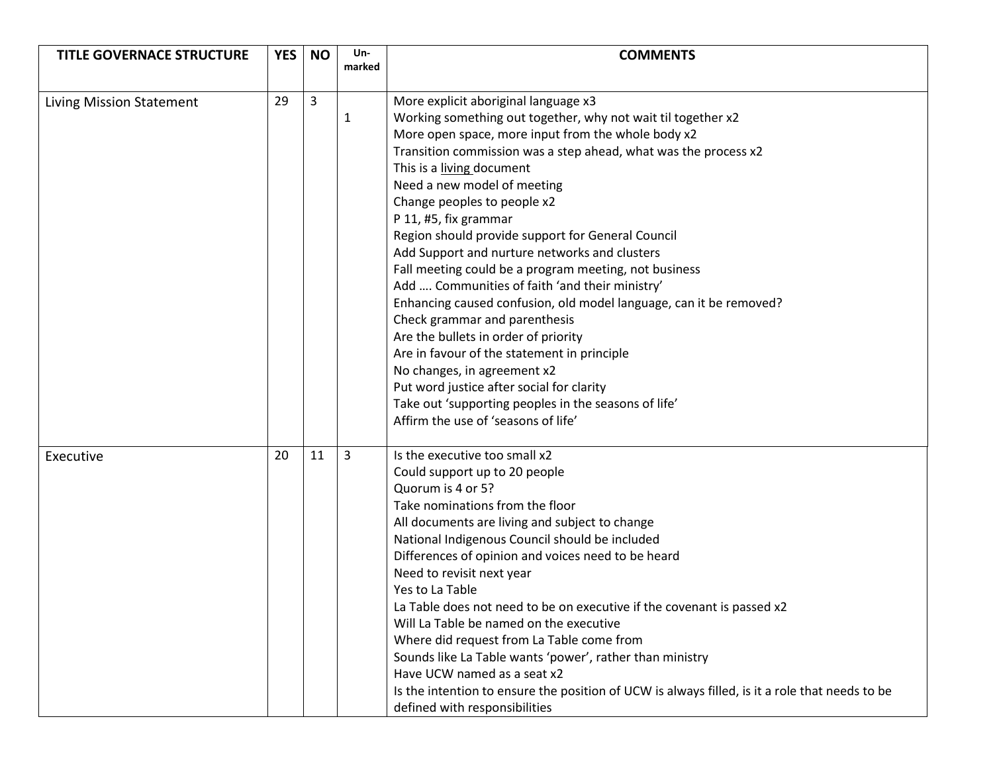| <b>TITLE GOVERNACE STRUCTURE</b> | <b>YES</b> | <b>NO</b> | Un-    | <b>COMMENTS</b>                                                                                |
|----------------------------------|------------|-----------|--------|------------------------------------------------------------------------------------------------|
|                                  |            |           | marked |                                                                                                |
|                                  |            |           |        |                                                                                                |
| Living Mission Statement         | 29         | 3         |        | More explicit aboriginal language x3                                                           |
|                                  |            |           | 1      | Working something out together, why not wait til together x2                                   |
|                                  |            |           |        | More open space, more input from the whole body x2                                             |
|                                  |            |           |        | Transition commission was a step ahead, what was the process x2                                |
|                                  |            |           |        | This is a living document                                                                      |
|                                  |            |           |        | Need a new model of meeting                                                                    |
|                                  |            |           |        | Change peoples to people x2                                                                    |
|                                  |            |           |        | P 11, #5, fix grammar                                                                          |
|                                  |            |           |        | Region should provide support for General Council                                              |
|                                  |            |           |        | Add Support and nurture networks and clusters                                                  |
|                                  |            |           |        | Fall meeting could be a program meeting, not business                                          |
|                                  |            |           |        | Add  Communities of faith 'and their ministry'                                                 |
|                                  |            |           |        | Enhancing caused confusion, old model language, can it be removed?                             |
|                                  |            |           |        | Check grammar and parenthesis                                                                  |
|                                  |            |           |        | Are the bullets in order of priority                                                           |
|                                  |            |           |        | Are in favour of the statement in principle                                                    |
|                                  |            |           |        | No changes, in agreement x2                                                                    |
|                                  |            |           |        | Put word justice after social for clarity                                                      |
|                                  |            |           |        | Take out 'supporting peoples in the seasons of life'                                           |
|                                  |            |           |        | Affirm the use of 'seasons of life'                                                            |
|                                  |            |           |        |                                                                                                |
| Executive                        | 20         | 11        | 3      | Is the executive too small x2                                                                  |
|                                  |            |           |        | Could support up to 20 people                                                                  |
|                                  |            |           |        | Quorum is 4 or 5?                                                                              |
|                                  |            |           |        | Take nominations from the floor                                                                |
|                                  |            |           |        | All documents are living and subject to change                                                 |
|                                  |            |           |        | National Indigenous Council should be included                                                 |
|                                  |            |           |        | Differences of opinion and voices need to be heard                                             |
|                                  |            |           |        | Need to revisit next year                                                                      |
|                                  |            |           |        | Yes to La Table                                                                                |
|                                  |            |           |        | La Table does not need to be on executive if the covenant is passed x2                         |
|                                  |            |           |        | Will La Table be named on the executive                                                        |
|                                  |            |           |        | Where did request from La Table come from                                                      |
|                                  |            |           |        | Sounds like La Table wants 'power', rather than ministry                                       |
|                                  |            |           |        | Have UCW named as a seat x2                                                                    |
|                                  |            |           |        | Is the intention to ensure the position of UCW is always filled, is it a role that needs to be |
|                                  |            |           |        | defined with responsibilities                                                                  |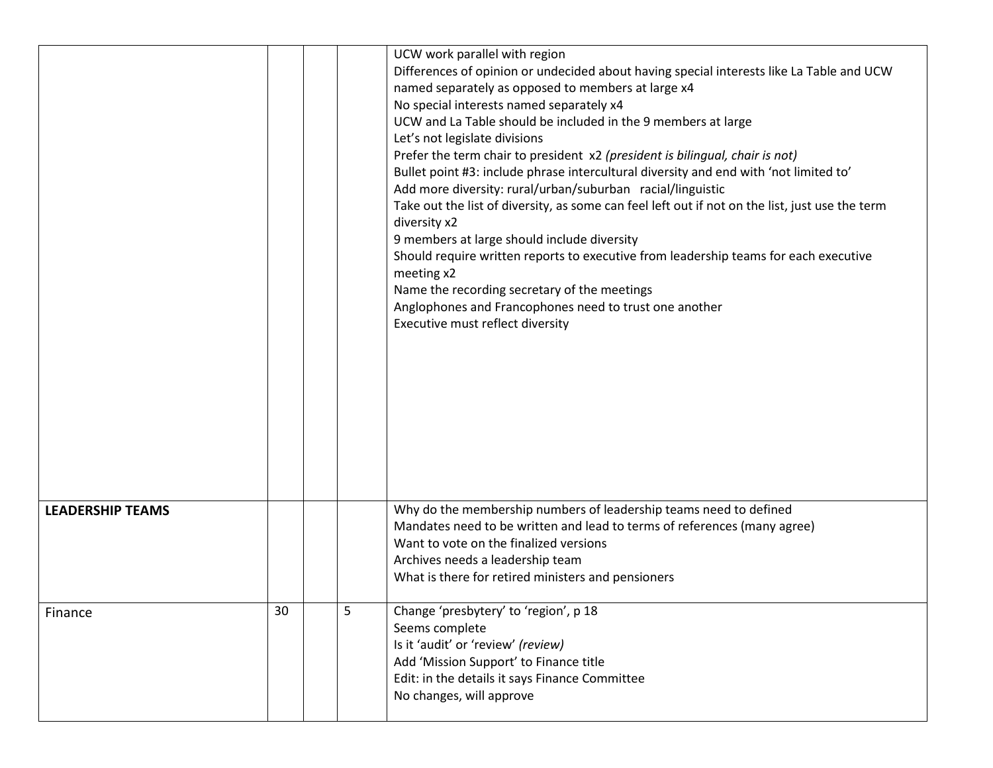|                         |    |   | UCW work parallel with region<br>Differences of opinion or undecided about having special interests like La Table and UCW<br>named separately as opposed to members at large x4<br>No special interests named separately x4<br>UCW and La Table should be included in the 9 members at large<br>Let's not legislate divisions<br>Prefer the term chair to president x2 (president is bilingual, chair is not)<br>Bullet point #3: include phrase intercultural diversity and end with 'not limited to'<br>Add more diversity: rural/urban/suburban racial/linguistic<br>Take out the list of diversity, as some can feel left out if not on the list, just use the term<br>diversity x2<br>9 members at large should include diversity<br>Should require written reports to executive from leadership teams for each executive<br>meeting x2<br>Name the recording secretary of the meetings<br>Anglophones and Francophones need to trust one another<br>Executive must reflect diversity |
|-------------------------|----|---|--------------------------------------------------------------------------------------------------------------------------------------------------------------------------------------------------------------------------------------------------------------------------------------------------------------------------------------------------------------------------------------------------------------------------------------------------------------------------------------------------------------------------------------------------------------------------------------------------------------------------------------------------------------------------------------------------------------------------------------------------------------------------------------------------------------------------------------------------------------------------------------------------------------------------------------------------------------------------------------------|
| <b>LEADERSHIP TEAMS</b> |    |   | Why do the membership numbers of leadership teams need to defined<br>Mandates need to be written and lead to terms of references (many agree)<br>Want to vote on the finalized versions<br>Archives needs a leadership team<br>What is there for retired ministers and pensioners                                                                                                                                                                                                                                                                                                                                                                                                                                                                                                                                                                                                                                                                                                          |
| Finance                 | 30 | 5 | Change 'presbytery' to 'region', p 18<br>Seems complete<br>Is it 'audit' or 'review' (review)<br>Add 'Mission Support' to Finance title<br>Edit: in the details it says Finance Committee<br>No changes, will approve                                                                                                                                                                                                                                                                                                                                                                                                                                                                                                                                                                                                                                                                                                                                                                      |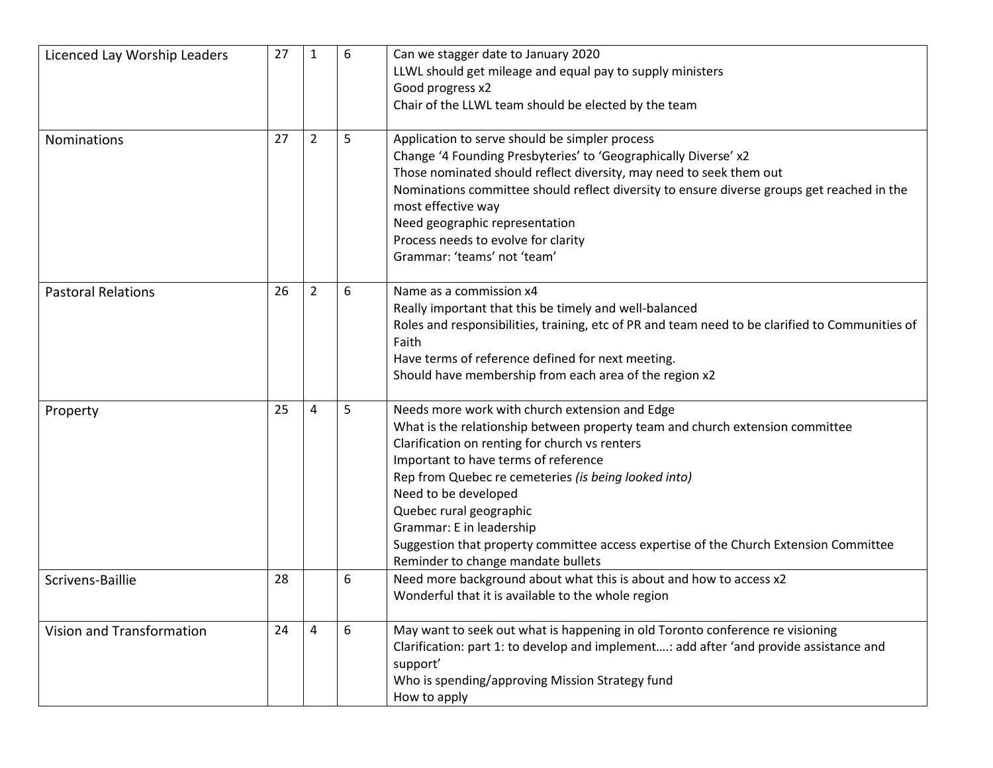| Licenced Lay Worship Leaders | 27 | $\mathbf{1}$   | 6 | Can we stagger date to January 2020<br>LLWL should get mileage and equal pay to supply ministers<br>Good progress x2<br>Chair of the LLWL team should be elected by the team                                                                                                                                                                                                                                                                                                                    |
|------------------------------|----|----------------|---|-------------------------------------------------------------------------------------------------------------------------------------------------------------------------------------------------------------------------------------------------------------------------------------------------------------------------------------------------------------------------------------------------------------------------------------------------------------------------------------------------|
| <b>Nominations</b>           | 27 | $\overline{2}$ | 5 | Application to serve should be simpler process<br>Change '4 Founding Presbyteries' to 'Geographically Diverse' x2<br>Those nominated should reflect diversity, may need to seek them out<br>Nominations committee should reflect diversity to ensure diverse groups get reached in the<br>most effective way<br>Need geographic representation<br>Process needs to evolve for clarity<br>Grammar: 'teams' not 'team'                                                                            |
| <b>Pastoral Relations</b>    | 26 | $\overline{2}$ | 6 | Name as a commission x4<br>Really important that this be timely and well-balanced<br>Roles and responsibilities, training, etc of PR and team need to be clarified to Communities of<br>Faith<br>Have terms of reference defined for next meeting.<br>Should have membership from each area of the region x2                                                                                                                                                                                    |
| Property                     | 25 | 4              | 5 | Needs more work with church extension and Edge<br>What is the relationship between property team and church extension committee<br>Clarification on renting for church vs renters<br>Important to have terms of reference<br>Rep from Quebec re cemeteries (is being looked into)<br>Need to be developed<br>Quebec rural geographic<br>Grammar: E in leadership<br>Suggestion that property committee access expertise of the Church Extension Committee<br>Reminder to change mandate bullets |
| Scrivens-Baillie             | 28 |                | 6 | Need more background about what this is about and how to access x2<br>Wonderful that it is available to the whole region                                                                                                                                                                                                                                                                                                                                                                        |
| Vision and Transformation    | 24 | 4              | 6 | May want to seek out what is happening in old Toronto conference re visioning<br>Clarification: part 1: to develop and implement: add after 'and provide assistance and<br>support'<br>Who is spending/approving Mission Strategy fund<br>How to apply                                                                                                                                                                                                                                          |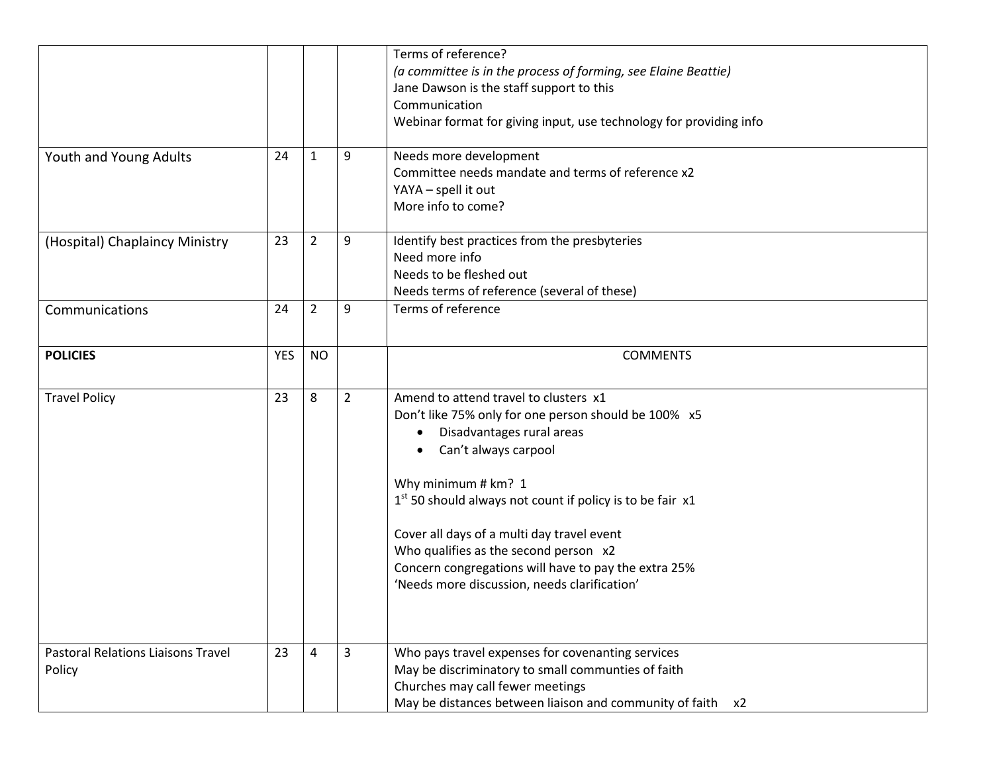|                                           |            |                |                | Terms of reference?<br>(a committee is in the process of forming, see Elaine Beattie) |
|-------------------------------------------|------------|----------------|----------------|---------------------------------------------------------------------------------------|
|                                           |            |                |                | Jane Dawson is the staff support to this                                              |
|                                           |            |                |                | Communication                                                                         |
|                                           |            |                |                | Webinar format for giving input, use technology for providing info                    |
|                                           |            |                |                |                                                                                       |
| Youth and Young Adults                    | 24         | $\mathbf{1}$   | 9              | Needs more development                                                                |
|                                           |            |                |                | Committee needs mandate and terms of reference x2                                     |
|                                           |            |                |                | YAYA - spell it out                                                                   |
|                                           |            |                |                | More info to come?                                                                    |
| (Hospital) Chaplaincy Ministry            | 23         | $\overline{2}$ | 9              | Identify best practices from the presbyteries                                         |
|                                           |            |                |                | Need more info                                                                        |
|                                           |            |                |                | Needs to be fleshed out                                                               |
|                                           |            |                |                | Needs terms of reference (several of these)                                           |
| Communications                            | 24         | $\overline{2}$ | 9              | Terms of reference                                                                    |
|                                           |            |                |                |                                                                                       |
| <b>POLICIES</b>                           | <b>YES</b> | <b>NO</b>      |                | <b>COMMENTS</b>                                                                       |
|                                           |            |                |                |                                                                                       |
| <b>Travel Policy</b>                      | 23         | 8              | $\overline{2}$ | Amend to attend travel to clusters x1                                                 |
|                                           |            |                |                | Don't like 75% only for one person should be 100% x5                                  |
|                                           |            |                |                | Disadvantages rural areas<br>$\bullet$                                                |
|                                           |            |                |                | Can't always carpool                                                                  |
|                                           |            |                |                | Why minimum # km? 1                                                                   |
|                                           |            |                |                | $1st$ 50 should always not count if policy is to be fair x1                           |
|                                           |            |                |                |                                                                                       |
|                                           |            |                |                | Cover all days of a multi day travel event                                            |
|                                           |            |                |                | Who qualifies as the second person x2                                                 |
|                                           |            |                |                | Concern congregations will have to pay the extra 25%                                  |
|                                           |            |                |                | 'Needs more discussion, needs clarification'                                          |
|                                           |            |                |                |                                                                                       |
|                                           |            |                |                |                                                                                       |
| <b>Pastoral Relations Liaisons Travel</b> | 23         | 4              | 3              | Who pays travel expenses for covenanting services                                     |
| Policy                                    |            |                |                | May be discriminatory to small communties of faith                                    |
|                                           |            |                |                | Churches may call fewer meetings                                                      |
|                                           |            |                |                | May be distances between liaison and community of faith<br>x2                         |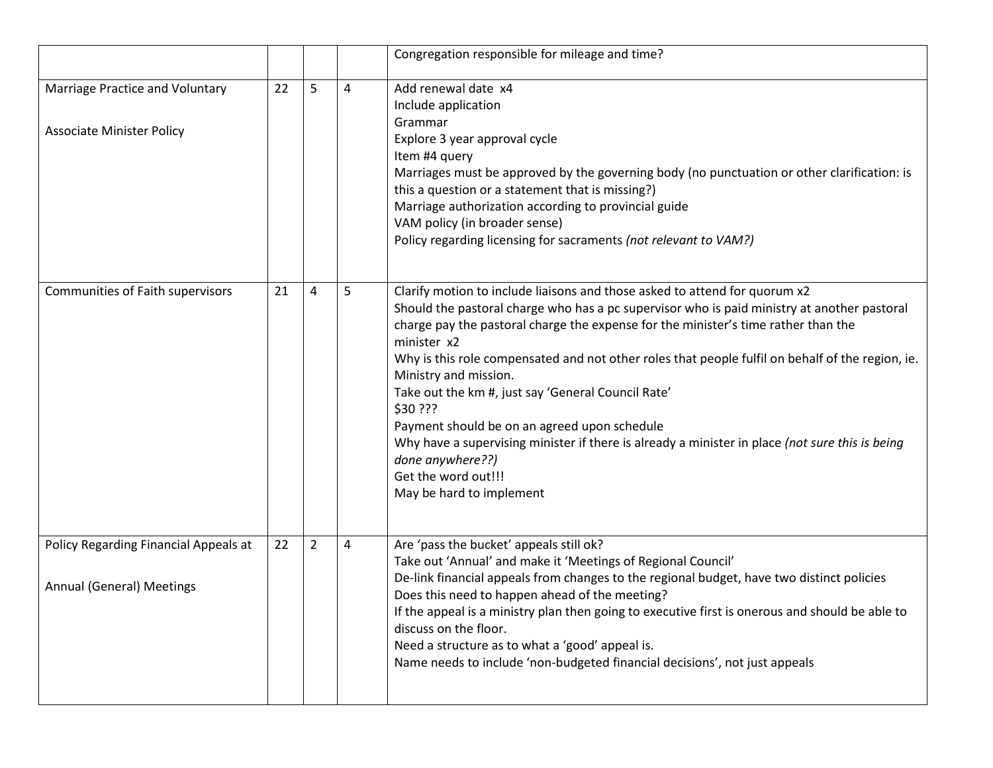|                                                                     |    |                |   | Congregation responsible for mileage and time?                                                                                                                                                                                                                                                                                                                                                                                                                                                                                                                                                                                                                                                          |
|---------------------------------------------------------------------|----|----------------|---|---------------------------------------------------------------------------------------------------------------------------------------------------------------------------------------------------------------------------------------------------------------------------------------------------------------------------------------------------------------------------------------------------------------------------------------------------------------------------------------------------------------------------------------------------------------------------------------------------------------------------------------------------------------------------------------------------------|
| Marriage Practice and Voluntary<br><b>Associate Minister Policy</b> | 22 | 5              | 4 | Add renewal date x4<br>Include application<br>Grammar<br>Explore 3 year approval cycle<br>Item #4 query<br>Marriages must be approved by the governing body (no punctuation or other clarification: is<br>this a question or a statement that is missing?)<br>Marriage authorization according to provincial guide<br>VAM policy (in broader sense)<br>Policy regarding licensing for sacraments (not relevant to VAM?)                                                                                                                                                                                                                                                                                 |
| Communities of Faith supervisors                                    | 21 | $\overline{4}$ | 5 | Clarify motion to include liaisons and those asked to attend for quorum x2<br>Should the pastoral charge who has a pc supervisor who is paid ministry at another pastoral<br>charge pay the pastoral charge the expense for the minister's time rather than the<br>minister x2<br>Why is this role compensated and not other roles that people fulfil on behalf of the region, ie.<br>Ministry and mission.<br>Take out the km #, just say 'General Council Rate'<br>\$30 ???<br>Payment should be on an agreed upon schedule<br>Why have a supervising minister if there is already a minister in place (not sure this is being<br>done anywhere??)<br>Get the word out!!!<br>May be hard to implement |
| Policy Regarding Financial Appeals at<br>Annual (General) Meetings  | 22 | $\overline{2}$ | 4 | Are 'pass the bucket' appeals still ok?<br>Take out 'Annual' and make it 'Meetings of Regional Council'<br>De-link financial appeals from changes to the regional budget, have two distinct policies<br>Does this need to happen ahead of the meeting?<br>If the appeal is a ministry plan then going to executive first is onerous and should be able to<br>discuss on the floor.<br>Need a structure as to what a 'good' appeal is.<br>Name needs to include 'non-budgeted financial decisions', not just appeals                                                                                                                                                                                     |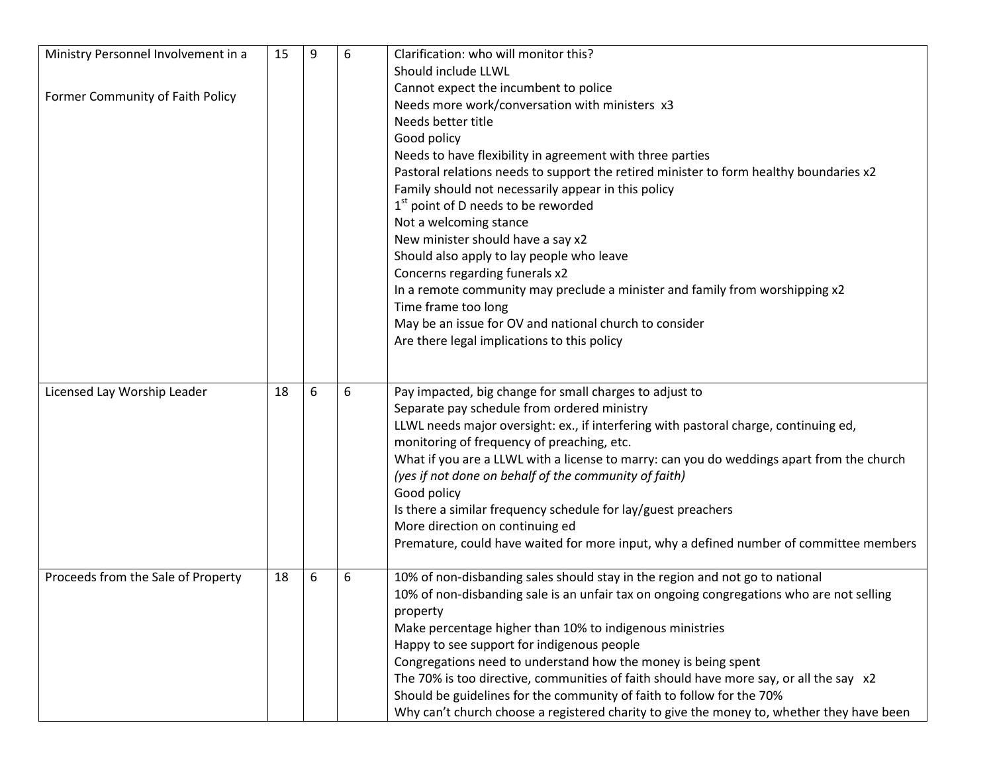| Ministry Personnel Involvement in a | 15 | 9 | 6 | Clarification: who will monitor this?                                                     |
|-------------------------------------|----|---|---|-------------------------------------------------------------------------------------------|
|                                     |    |   |   | Should include LLWL                                                                       |
|                                     |    |   |   | Cannot expect the incumbent to police                                                     |
| Former Community of Faith Policy    |    |   |   | Needs more work/conversation with ministers x3                                            |
|                                     |    |   |   | Needs better title                                                                        |
|                                     |    |   |   | Good policy                                                                               |
|                                     |    |   |   | Needs to have flexibility in agreement with three parties                                 |
|                                     |    |   |   | Pastoral relations needs to support the retired minister to form healthy boundaries x2    |
|                                     |    |   |   | Family should not necessarily appear in this policy                                       |
|                                     |    |   |   | 1 <sup>st</sup> point of D needs to be reworded                                           |
|                                     |    |   |   | Not a welcoming stance                                                                    |
|                                     |    |   |   | New minister should have a say x2                                                         |
|                                     |    |   |   | Should also apply to lay people who leave                                                 |
|                                     |    |   |   | Concerns regarding funerals x2                                                            |
|                                     |    |   |   | In a remote community may preclude a minister and family from worshipping x2              |
|                                     |    |   |   | Time frame too long                                                                       |
|                                     |    |   |   | May be an issue for OV and national church to consider                                    |
|                                     |    |   |   | Are there legal implications to this policy                                               |
|                                     |    |   |   |                                                                                           |
|                                     |    |   |   |                                                                                           |
| Licensed Lay Worship Leader         | 18 | 6 | 6 | Pay impacted, big change for small charges to adjust to                                   |
|                                     |    |   |   | Separate pay schedule from ordered ministry                                               |
|                                     |    |   |   | LLWL needs major oversight: ex., if interfering with pastoral charge, continuing ed,      |
|                                     |    |   |   | monitoring of frequency of preaching, etc.                                                |
|                                     |    |   |   | What if you are a LLWL with a license to marry: can you do weddings apart from the church |
|                                     |    |   |   | (yes if not done on behalf of the community of faith)                                     |
|                                     |    |   |   | Good policy                                                                               |
|                                     |    |   |   | Is there a similar frequency schedule for lay/guest preachers                             |
|                                     |    |   |   | More direction on continuing ed                                                           |
|                                     |    |   |   | Premature, could have waited for more input, why a defined number of committee members    |
|                                     |    |   |   |                                                                                           |
| Proceeds from the Sale of Property  | 18 | 6 | 6 | 10% of non-disbanding sales should stay in the region and not go to national              |
|                                     |    |   |   | 10% of non-disbanding sale is an unfair tax on ongoing congregations who are not selling  |
|                                     |    |   |   | property                                                                                  |
|                                     |    |   |   | Make percentage higher than 10% to indigenous ministries                                  |
|                                     |    |   |   | Happy to see support for indigenous people                                                |
|                                     |    |   |   | Congregations need to understand how the money is being spent                             |
|                                     |    |   |   | The 70% is too directive, communities of faith should have more say, or all the say x2    |
|                                     |    |   |   | Should be guidelines for the community of faith to follow for the 70%                     |
|                                     |    |   |   | Why can't church choose a registered charity to give the money to, whether they have been |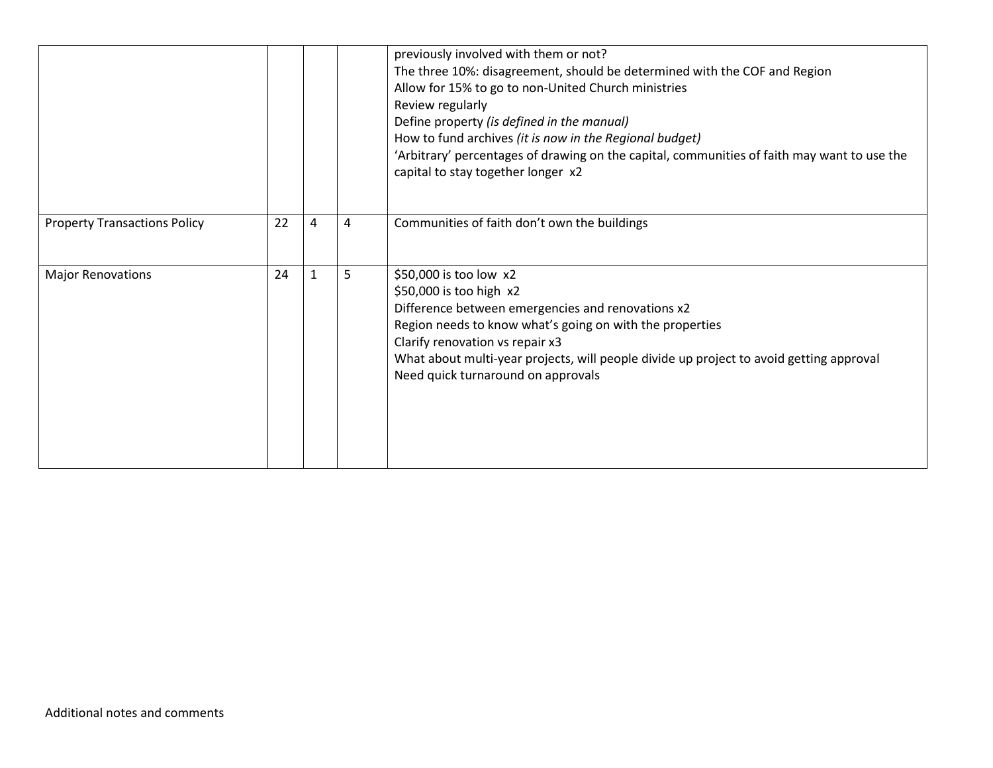|                                     |    |              |   | previously involved with them or not?<br>The three 10%: disagreement, should be determined with the COF and Region<br>Allow for 15% to go to non-United Church ministries<br>Review regularly<br>Define property (is defined in the manual)<br>How to fund archives (it is now in the Regional budget)<br>'Arbitrary' percentages of drawing on the capital, communities of faith may want to use the<br>capital to stay together longer x2 |
|-------------------------------------|----|--------------|---|---------------------------------------------------------------------------------------------------------------------------------------------------------------------------------------------------------------------------------------------------------------------------------------------------------------------------------------------------------------------------------------------------------------------------------------------|
| <b>Property Transactions Policy</b> | 22 | 4            | 4 | Communities of faith don't own the buildings                                                                                                                                                                                                                                                                                                                                                                                                |
| <b>Major Renovations</b>            | 24 | $\mathbf{1}$ | 5 | \$50,000 is too low x2<br>\$50,000 is too high x2<br>Difference between emergencies and renovations x2<br>Region needs to know what's going on with the properties<br>Clarify renovation vs repair x3<br>What about multi-year projects, will people divide up project to avoid getting approval<br>Need quick turnaround on approvals                                                                                                      |